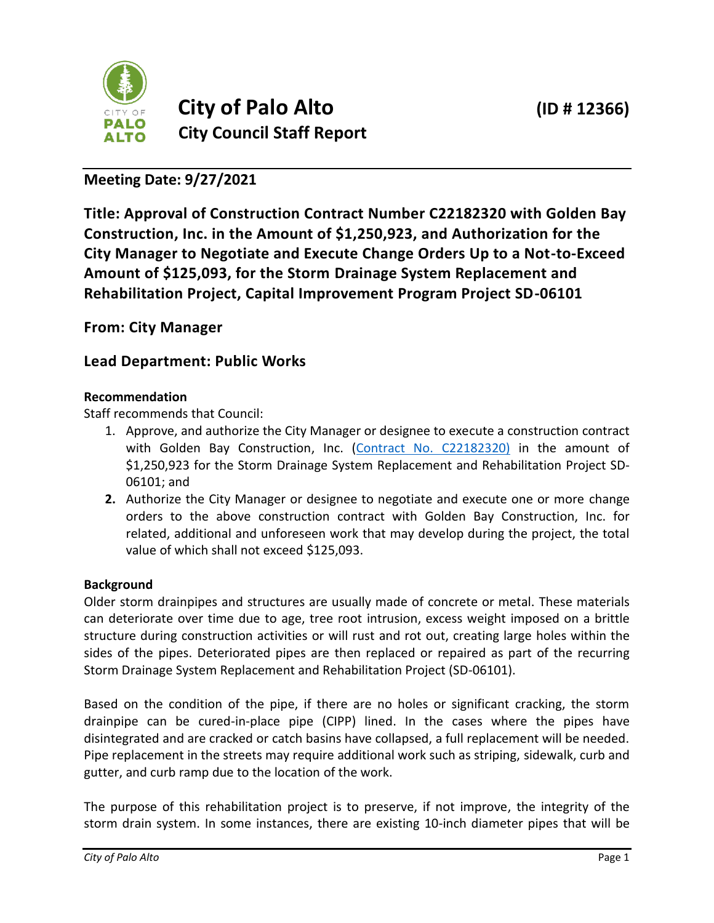

# **Meeting Date: 9/27/2021**

**Title: Approval of Construction Contract Number C22182320 with Golden Bay Construction, Inc. in the Amount of \$1,250,923, and Authorization for the City Manager to Negotiate and Execute Change Orders Up to a Not-to-Exceed Amount of \$125,093, for the Storm Drainage System Replacement and Rehabilitation Project, Capital Improvement Program Project SD-06101**

## **From: City Manager**

## **Lead Department: Public Works**

## **Recommendation**

Staff recommends that Council:

- 1. Approve, and authorize the City Manager or designee to execute a construction contract with Golden Bay Construction, Inc. [\(Contract No. C22182320\)](https://www.cityofpaloalto.org/files/assets/public/public-works/engineering-services/cip-contracts/c22182320-golden-bay-construction-inc._mt.pdf) in the amount of \$1,250,923 for the Storm Drainage System Replacement and Rehabilitation Project SD-06101; and
- **2.** Authorize the City Manager or designee to negotiate and execute one or more change orders to the above construction contract with Golden Bay Construction, Inc. for related, additional and unforeseen work that may develop during the project, the total value of which shall not exceed \$125,093.

## **Background**

Older storm drainpipes and structures are usually made of concrete or metal. These materials can deteriorate over time due to age, tree root intrusion, excess weight imposed on a brittle structure during construction activities or will rust and rot out, creating large holes within the sides of the pipes. Deteriorated pipes are then replaced or repaired as part of the recurring Storm Drainage System Replacement and Rehabilitation Project (SD-06101).

Based on the condition of the pipe, if there are no holes or significant cracking, the storm drainpipe can be cured-in-place pipe (CIPP) lined. In the cases where the pipes have disintegrated and are cracked or catch basins have collapsed, a full replacement will be needed. Pipe replacement in the streets may require additional work such as striping, sidewalk, curb and gutter, and curb ramp due to the location of the work.

The purpose of this rehabilitation project is to preserve, if not improve, the integrity of the storm drain system. In some instances, there are existing 10-inch diameter pipes that will be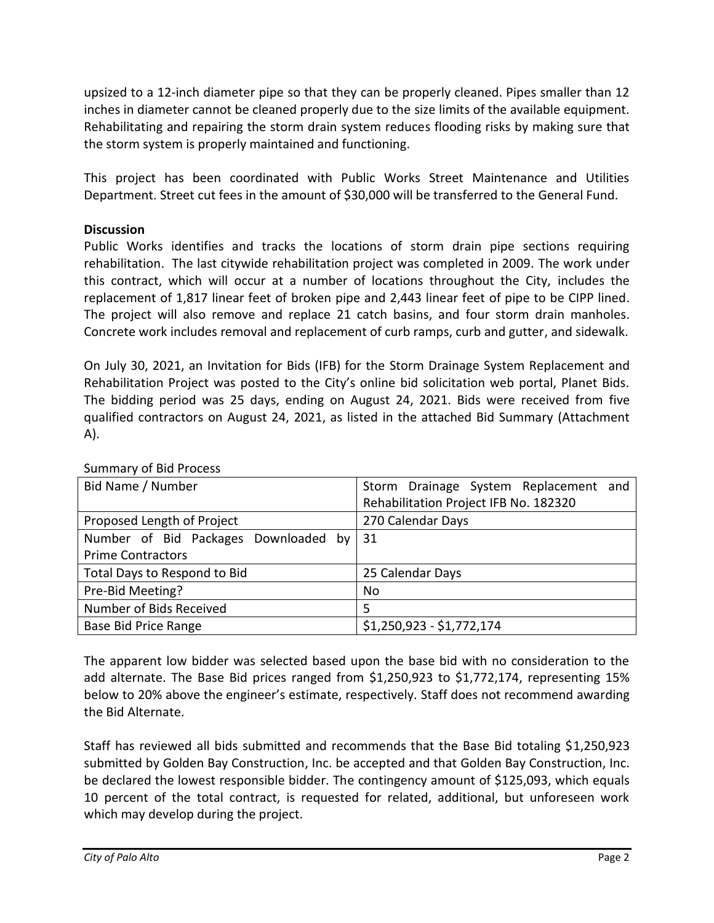upsized to a 12-inch diameter pipe so that they can be properly cleaned. Pipes smaller than 12 inches in diameter cannot be cleaned properly due to the size limits of the available equipment. Rehabilitating and repairing the storm drain system reduces flooding risks by making sure that the storm system is properly maintained and functioning.

This project has been coordinated with Public Works Street Maintenance and Utilities Department. Street cut fees in the amount of \$30,000 will be transferred to the General Fund.

#### **Discussion**

Public Works identifies and tracks the locations of storm drain pipe sections requiring rehabilitation. The last citywide rehabilitation project was completed in 2009. The work under this contract, which will occur at a number of locations throughout the City, includes the replacement of 1,817 linear feet of broken pipe and 2,443 linear feet of pipe to be CIPP lined. The project will also remove and replace 21 catch basins, and four storm drain manholes. Concrete work includes removal and replacement of curb ramps, curb and gutter, and sidewalk.

On July 30, 2021, an Invitation for Bids (IFB) for the Storm Drainage System Replacement and Rehabilitation Project was posted to the City's online bid solicitation web portal, Planet Bids. The bidding period was 25 days, ending on August 24, 2021. Bids were received from five qualified contractors on August 24, 2021, as listed in the attached Bid Summary (Attachment A).

| Bid Name / Number                       | Storm Drainage System Replacement and |
|-----------------------------------------|---------------------------------------|
|                                         | Rehabilitation Project IFB No. 182320 |
| Proposed Length of Project              | 270 Calendar Days                     |
| Number of Bid Packages Downloaded by 31 |                                       |
| <b>Prime Contractors</b>                |                                       |
| Total Days to Respond to Bid            | 25 Calendar Days                      |
| Pre-Bid Meeting?                        | No                                    |
| Number of Bids Received                 | 5                                     |
| <b>Base Bid Price Range</b>             | $$1,250,923 - $1,772,174$             |

#### Summary of Bid Process

The apparent low bidder was selected based upon the base bid with no consideration to the add alternate. The Base Bid prices ranged from \$1,250,923 to \$1,772,174, representing 15% below to 20% above the engineer's estimate, respectively. Staff does not recommend awarding the Bid Alternate.

Staff has reviewed all bids submitted and recommends that the Base Bid totaling \$1,250,923 submitted by Golden Bay Construction, Inc. be accepted and that Golden Bay Construction, Inc. be declared the lowest responsible bidder. The contingency amount of \$125,093, which equals 10 percent of the total contract, is requested for related, additional, but unforeseen work which may develop during the project.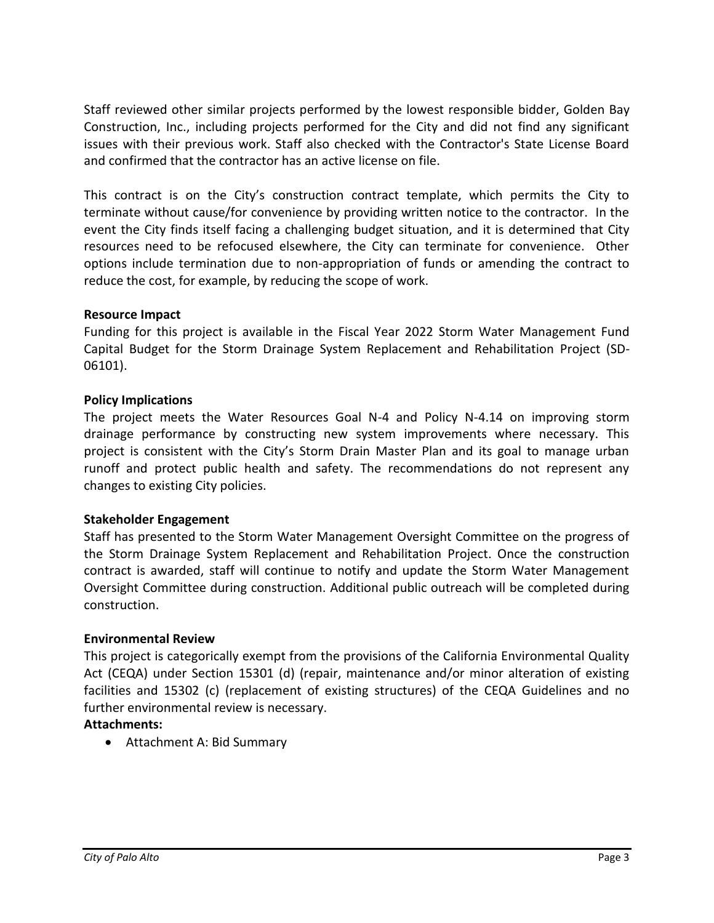Staff reviewed other similar projects performed by the lowest responsible bidder, Golden Bay Construction, Inc., including projects performed for the City and did not find any significant issues with their previous work. Staff also checked with the Contractor's State License Board and confirmed that the contractor has an active license on file.

This contract is on the City's construction contract template, which permits the City to terminate without cause/for convenience by providing written notice to the contractor. In the event the City finds itself facing a challenging budget situation, and it is determined that City resources need to be refocused elsewhere, the City can terminate for convenience. Other options include termination due to non-appropriation of funds or amending the contract to reduce the cost, for example, by reducing the scope of work.

#### **Resource Impact**

Funding for this project is available in the Fiscal Year 2022 Storm Water Management Fund Capital Budget for the Storm Drainage System Replacement and Rehabilitation Project (SD-06101).

#### **Policy Implications**

The project meets the Water Resources Goal N-4 and Policy N-4.14 on improving storm drainage performance by constructing new system improvements where necessary. This project is consistent with the City's Storm Drain Master Plan and its goal to manage urban runoff and protect public health and safety. The recommendations do not represent any changes to existing City policies.

#### **Stakeholder Engagement**

Staff has presented to the Storm Water Management Oversight Committee on the progress of the Storm Drainage System Replacement and Rehabilitation Project. Once the construction contract is awarded, staff will continue to notify and update the Storm Water Management Oversight Committee during construction. Additional public outreach will be completed during construction.

#### **Environmental Review**

This project is categorically exempt from the provisions of the California Environmental Quality Act (CEQA) under Section 15301 (d) (repair, maintenance and/or minor alteration of existing facilities and 15302 (c) (replacement of existing structures) of the CEQA Guidelines and no further environmental review is necessary.

## **Attachments:**

• Attachment A: Bid Summary